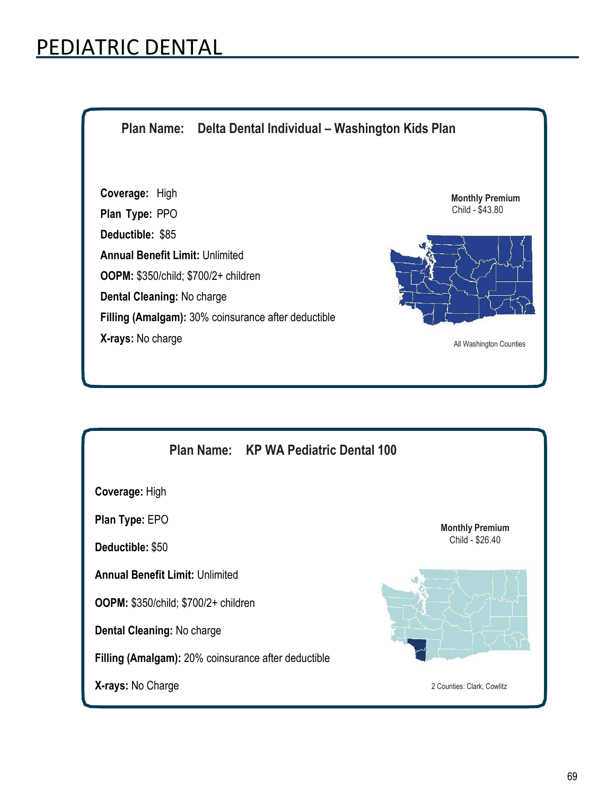## PEDIATRIC DENTAL

**Plan Name: Delta Dental Individual – Washington Kids Plan Coverage:** High **Plan Type:** PPO **Deductible:** \$85 **Annual Benefit Limit:** Unlimited **OOPM:** \$350/child; \$700/2+ children **Dental Cleaning:** No charge **Filling (Amalgam):** 30% coinsurance after deductible **X-rays:** No charge **Monthly Premium** Child - \$43.80 All Washington Counties